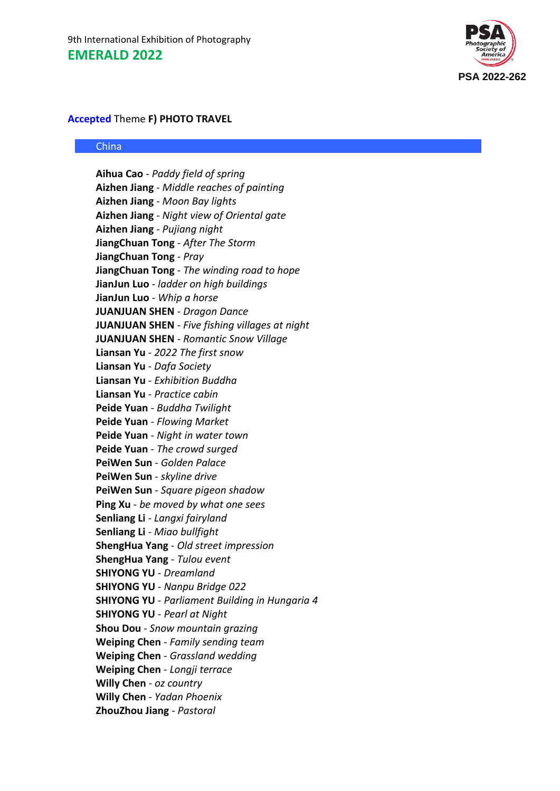

# **Accepted** Theme **F) PHOTO TRAVEL**

#### China

**Aihua Cao** - *Paddy field of spring* **Aizhen Jiang** - *Middle reaches of painting* **Aizhen Jiang** - *Moon Bay lights* **Aizhen Jiang** - *Night view of Oriental gate* **Aizhen Jiang** - *Pujiang night* **JiangChuan Tong** - *After The Storm* **JiangChuan Tong** - *Pray* **JiangChuan Tong** - *The winding road to hope* **JianJun Luo** - *ladder on high buildings* **JianJun Luo** - *Whip a horse* **JUANJUAN SHEN** - *Dragon Dance* **JUANJUAN SHEN** - *Five fishing villages at night* **JUANJUAN SHEN** - *Romantic Snow Village* **Liansan Yu** - *2022 The first snow* **Liansan Yu** - *Dafa Society* **Liansan Yu** - *Exhibition Buddha* **Liansan Yu** - *Practice cabin* **Peide Yuan** - *Buddha Twilight* **Peide Yuan** - *Flowing Market* **Peide Yuan** - *Night in water town* **Peide Yuan** - *The crowd surged* **PeiWen Sun** - *Golden Palace* **PeiWen Sun** - *skyline drive* **PeiWen Sun** - *Square pigeon shadow* **Ping Xu** - *be moved by what one sees* **Senliang Li** - *Langxi fairyland* **Senliang Li** - *Miao bullfight* **ShengHua Yang** - *Old street impression* **ShengHua Yang** - *Tulou event* **SHIYONG YU** - *Dreamland* **SHIYONG YU** - *Nanpu Bridge 022* **SHIYONG YU** - *Parliament Building in Hungaria 4* **SHIYONG YU** - *Pearl at Night* **Shou Dou** - *Snow mountain grazing* **Weiping Chen** - *Family sending team* **Weiping Chen** - *Grassland wedding* **Weiping Chen** - *Longji terrace* **Willy Chen** - *oz country* **Willy Chen** - *Yadan Phoenix* **ZhouZhou Jiang** - *Pastoral*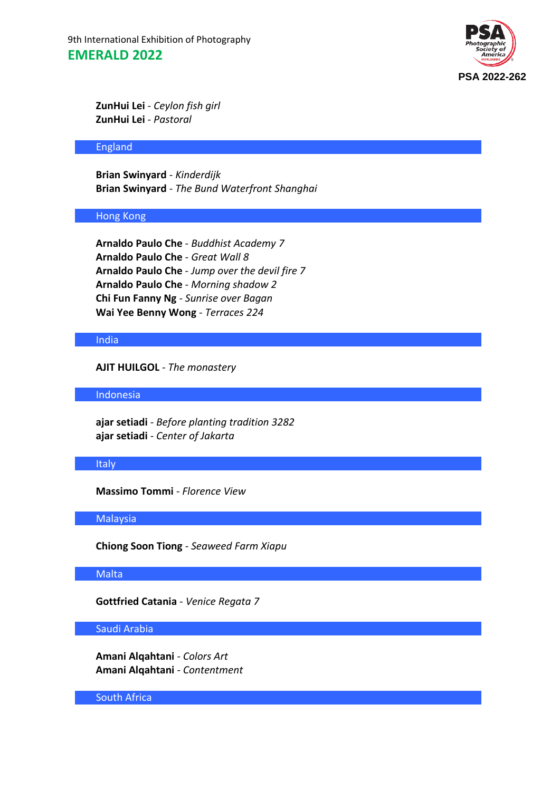9th International Exhibition of Photography **EMERALD 2022**



**ZunHui Lei** - *Ceylon fish girl* **ZunHui Lei** - *Pastoral*

#### England

**Brian Swinyard** - *Kinderdijk* **Brian Swinyard** - *The Bund Waterfront Shanghai*

#### Hong Kong

**Arnaldo Paulo Che** - *Buddhist Academy 7* **Arnaldo Paulo Che** - *Great Wall 8* **Arnaldo Paulo Che** - *Jump over the devil fire 7* **Arnaldo Paulo Che** - *Morning shadow 2* **Chi Fun Fanny Ng** - *Sunrise over Bagan* **Wai Yee Benny Wong** - *Terraces 224*

## India

**AJIT HUILGOL** - *The monastery*

Indonesia

**ajar setiadi** - *Before planting tradition 3282* **ajar setiadi** - *Center of Jakarta*

## **Italy**

**Massimo Tommi** - *Florence View*

## Malaysia

**Chiong Soon Tiong** - *Seaweed Farm Xiapu*

## **Malta**

**Gottfried Catania** - *Venice Regata 7*

## Saudi Arabia

**Amani Alqahtani** - *Colors Art* **Amani Alqahtani** - *Contentment*

South Africa